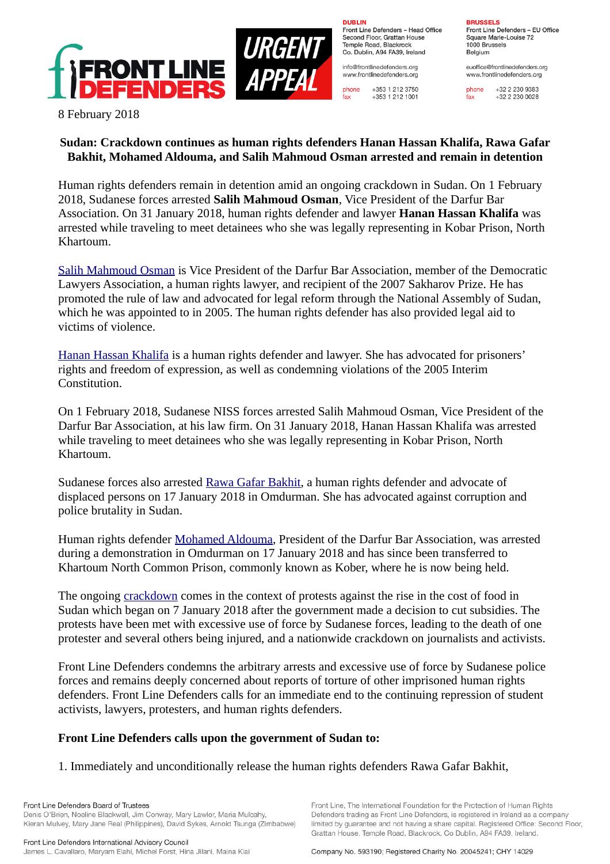

**DURLIN** Front Line Defenders - Head Office Second Floor, Grattan House Temple Boad, Blackrock Co. Dublin, A94 FA39, Ireland

info@frontlinedefenders.org www.frontlinedefenders.org

+353 1 212 3750 phone  $fax$ +353 1 212 1001

**BDHCCELC** 

Front Line Defenders - EU Office Square Marie-Louise 72 1000 Brussels Belgium

euoffice@frontlinedefenders.org www.frontlinedefenders.org

+32 2 230 9383 phone  $fax$  $+3222300028$ 

8 February 2018

## **Sudan: Crackdown continues as human rights defenders Hanan Hassan Khalifa, Rawa Gafar Bakhit, Mohamed Aldouma, and Salih Mahmoud Osman arrested and remain in detention**

Human rights defenders remain in detention amid an ongoing crackdown in Sudan. On 1 February 2018, Sudanese forces arrested **Salih Mahmoud Osman**, Vice President of the Darfur Bar Association. On 31 January 2018, human rights defender and lawyer **Hanan Hassan Khalifa** was arrested while traveling to meet detainees who she was legally representing in Kobar Prison, North Khartoum.

[Salih Mahmoud Osman](https://www.frontlinedefenders.org/en/profile/salih-mahmoud-osman) is Vice President of the Darfur Bar Association, member of the Democratic Lawyers Association, a human rights lawyer, and recipient of the 2007 Sakharov Prize. He has promoted the rule of law and advocated for legal reform through the National Assembly of Sudan, which he was appointed to in 2005. The human rights defender has also provided legal aid to victims of violence.

[Hanan Hassan Khalifa](https://www.frontlinedefenders.org/en/profile/hanan-hassan-khalifa) is a human rights defender and lawyer. She has advocated for prisoners' rights and freedom of expression, as well as condemning violations of the 2005 Interim Constitution.

On 1 February 2018, Sudanese NISS forces arrested Salih Mahmoud Osman, Vice President of the Darfur Bar Association, at his law firm. On 31 January 2018, Hanan Hassan Khalifa was arrested while traveling to meet detainees who she was legally representing in Kobar Prison, North Khartoum.

Sudanese forces also arrested [Rawa Gafar Bakhit,](https://www.frontlinedefenders.org/en/profile/rawa-gafar-bakhit) a human rights defender and advocate of displaced persons on 17 January 2018 in Omdurman. She has advocated against corruption and police brutality in Sudan.

Human rights defender [Mohamed Aldouma,](https://www.frontlinedefenders.org/en/case/arrests-human-rights-defenders-alongside-repression-killings-and-several-injuries-1) President of the Darfur Bar Association, was arrested during a demonstration in Omdurman on 17 January 2018 and has since been transferred to Khartoum North Common Prison, commonly known as Kober, where he is now being held.

The ongoing [crackdown](https://www.frontlinedefenders.org/en/case/arrests-human-rights-defenders-alongside-repression-killings-and-several-injuries) comes in the context of protests against the rise in the cost of food in Sudan which began on 7 January 2018 after the government made a decision to cut subsidies. The protests have been met with excessive use of force by Sudanese forces, leading to the death of one protester and several others being injured, and a nationwide crackdown on journalists and activists.

Front Line Defenders condemns the arbitrary arrests and excessive use of force by Sudanese police forces and remains deeply concerned about reports of torture of other imprisoned human rights defenders. Front Line Defenders calls for an immediate end to the continuing repression of student activists, lawyers, protesters, and human rights defenders.

## **Front Line Defenders calls upon the government of Sudan to:**

1. Immediately and unconditionally release the human rights defenders Rawa Gafar Bakhit,

Front Line, The International Foundation for the Protection of Human Rights

Defenders trading as Front Line Defenders, is registered in Ireland as a company

limited by guarantee and not having a share capital. Registered Office: Second Floor,